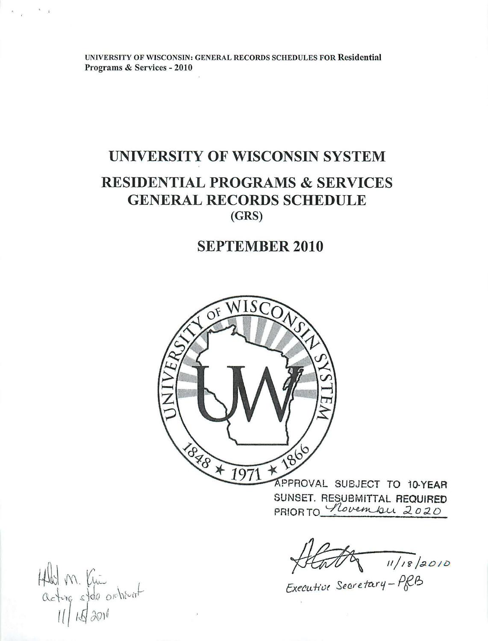# UNIVERSITY OF WISCONSIN SYSTEM RESIDENTIAL PROGRAMS & SERVICES GENERAL RECORDS SCHEDULE (GRS)

# SEPTEMBER 2010



SUNSET. RESUBMITTAL REQUIRED SUNSET. RESUBMITTAL REQUIRED<br>PRIOR TO *Novembu 2020* 

11/18/2010

f;xe~u-h'ut SeMe fa.r'{- *PfF!::>* 

Held M. Kui<br>acting stole orcherat

 $\sim$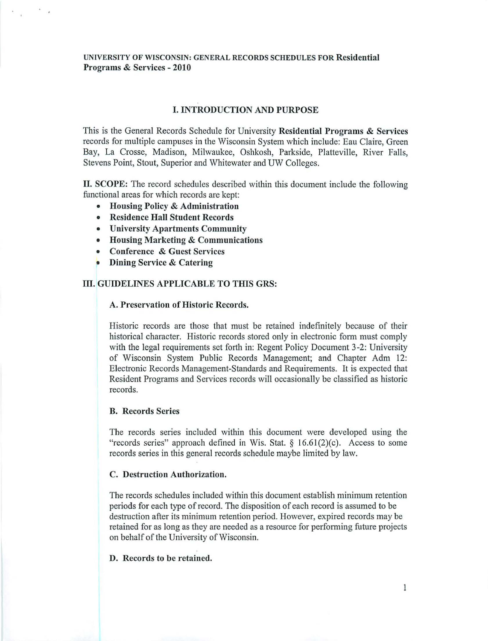# I. INTRODUCTION AND PURPOSE

This is the General Records Schedule for University Residential Programs & Services records for multiple campuses in the Wisconsin System which include: Eau Claire, Green Bay, La Crosse, Madison, Milwaukee, Oshkosh, Parkside, Platteville, River Falls, Stevens Point, Stout, Superior and Whitewater and UW Colleges.

II. SCOPE: The record schedules described within this document include the following functional areas for which records are kept:

- Housing Policy & Administration
- Residence Hall Student Records
- University Apartments Community
- Housing Marketing & Communications
- Conference & Guest Services
- Dining Service & Catering

#### ID. GUIDELINES APPLICABLE TO THIS GRS:

#### A. Preservation of Historic Records.

Historic records are those that must be retained indefinitely because of their historical character. Historic records stored only in electronic form must comply with the legal requirements set forth in: Regent Policy Document 3-2: University of Wisconsin System Public Records Management; and Chapter Adm 12: Electronic Records Management-Standards and Requirements. It is expected that Resident Programs and Services records will occasionally be classified as historic records.

#### B. Records Series

The records series included within this document were developed using the "records series" approach defined in Wis. Stat.  $\S$  16.61(2)(c). Access to some records series in this general records schedule maybe limited by law.

#### C. Destruction Authorization.

The records schedules included within this document establish minimum retention periods for each type of record. The disposition of each record is assumed to be destruction after its minimum retention period. However, expired records may be retained for as long as they are needed as a resource for performing future projects on behalf of the University of Wisconsin.

#### D. Records to be retained.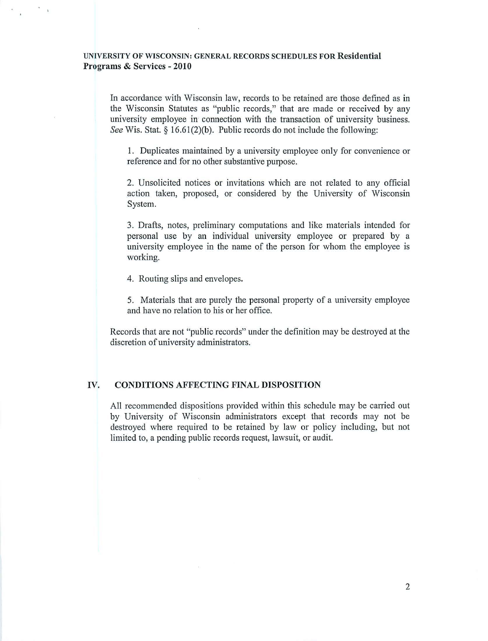In accordance with Wisconsin law, records to be retained are those defined as in the Wisconsin Statutes as "public records," that are made or received by any university employee in connection with the transaction of university business. See Wis. Stat. § 16.61(2)(b). Public records do not include the following:

1. Duplicates maintained by a university employee only for convenience or reference and for no other substantive purpose.

2. Unsolicited notices or invitations which are not related to any official action taken, proposed, or considered by the University of Wisconsin System.

3. Drafts, notes, preliminary computations and like materials intended for personal use by an individual university employee or prepared by a university employee in the name of the person for whom the employee is working.

4. Routing slips and envelopes.

5. Materials that are purely the personal property of a university employee and have no relation to his or her office.

Records that are not "public records" under the definition may be destroyed at the discretion of university administrators.

#### IV. CONDITIONS AFFECTING FINAL DISPOSITION

All recommended dispositions provided within this schedule may be carried out by University of Wisconsin administrators except that records may not be destroyed where required to be retained by law or policy including, but not limited to, a pending public records request, lawsuit, or audit.

2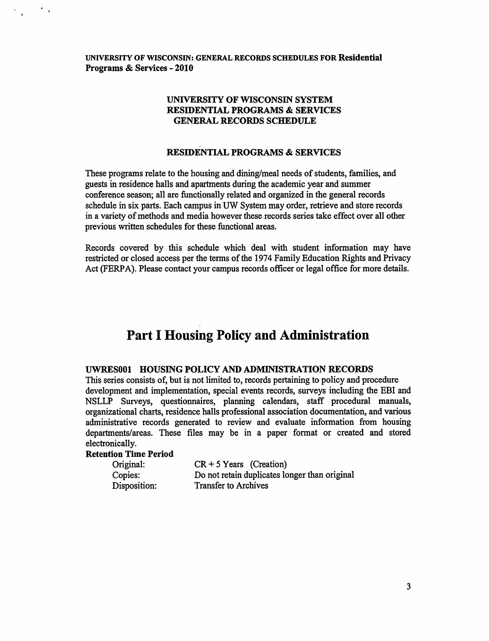# UNIVERSITY OF WISCONSIN SYSTEM RESIDENTIAL PROGRAMS & SERVICES GENERAL RECORDS SCHEDULE

# RESIDENTIAL PROGRAMS & SERVICES

These programs relate to the housing and dining/meal needs of students, families, and guests in residence halls and apartments during the academic year and summer conference season; all are functionally related and organized in the general records schedule in six parts. Each campus in UW System may order, retrieve and store records in a variety of methods and media however these records series take effect over all other previous written schedules for these functional areas.

Records covered by this schedule which deal with student information may have restricted or closed access per the terms of the 1974 Family Education Rights and Privacy Act (FERPA). Please contact your campus records officer or legal office for more details.

# **Part I Housing Policy and Administration**

#### UWRESOOl HOUSING POLICY AND ADMINISTRATION RECORDS

This series consists of, but is not limited to, records pertaining to policy and procedure development and implementation, special events records, surveys including the EBI and NSLLP Surveys, questionnaires, planning calendars, staff procedural manuals, organizational charts, residence halls professional association documentation, and various administrative records generated to review and evaluate information from housing departments/areas. These files may be in a paper format or created and stored electronically.

# Retention Time Period

 $\mathcal{F}_{\mathcal{A}}$ 

| Original:    | $CR + 5 \text{ Years}$ (Creation)             |
|--------------|-----------------------------------------------|
| Copies:      | Do not retain duplicates longer than original |
| Disposition: | Transfer to Archives                          |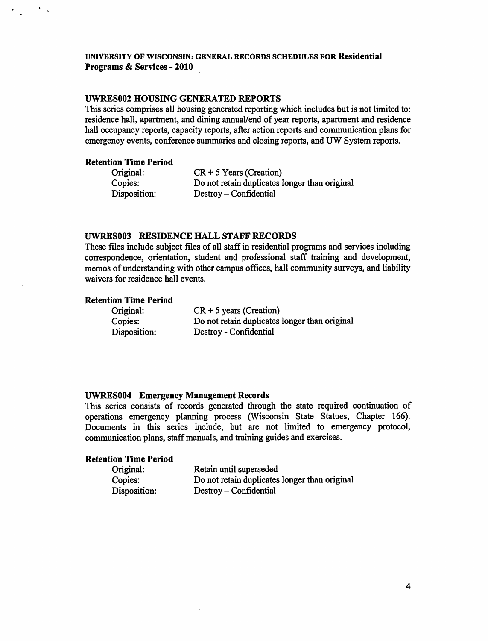#### UWRES002 HOUSING GENERATED REPORTS

This series comprises all housing generated reporting which includes but is not limited to: residence hall, apartment, and dining annual/end of year reports, apartment and residence hall occupancy reports, capacity reports, after action reports and communication plans for emergency events, conference summaries and closing reports, and UW System reports.

### Retention Time Period

 $\sim$   $^{-1}$ 

| Original:    | $CR + 5$ Years (Creation)                     |
|--------------|-----------------------------------------------|
| Copies:      | Do not retain duplicates longer than original |
| Disposition: | Destroy – Confidential                        |

#### UWRES003 RESIDENCE HALL STAFF RECORDS

These files include subject files of all staff in residential programs and services including correspondence, orientation, student and professional staff training and development, memos of understanding with other campus offices, hall community surveys, and liability waivers for residence hall events.

# Retention Time Period

| Original:    | $CR + 5$ years (Creation)                     |
|--------------|-----------------------------------------------|
| Copies:      | Do not retain duplicates longer than original |
| Disposition: | Destroy - Confidential                        |

#### UWRES004 Emergency Management Records

This series consists of records generated through the state required continuation of operations emergency planning process (Wisconsin State Statues, Chapter 166). Documents in this series include, but are not limited to emergency protocol, communication plans, staff manuals, and training guides and exercises.

| Original:    | Retain until superseded                       |
|--------------|-----------------------------------------------|
| Copies:      | Do not retain duplicates longer than original |
| Disposition: | Destroy – Confidential                        |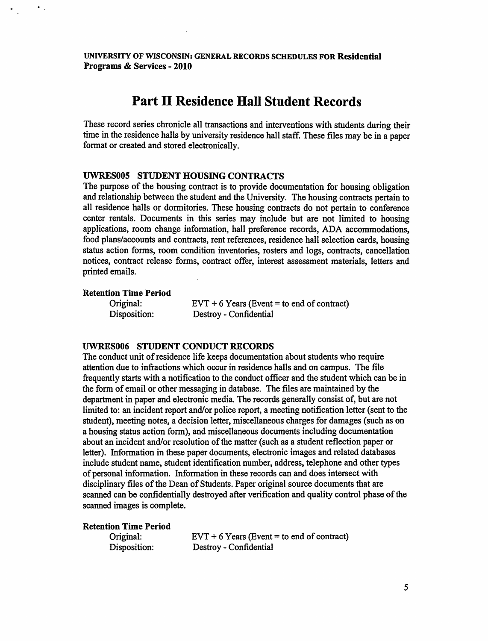# **Part II Residence Hall Student Records**

These record series chronicle all transactions and interventions with students during their time in the residence halls by university residence hall staff. These files may be in a paper format or created and stored electronically.

# UWRES005 STUDENT HOUSING CONTRACTS

The purpose of the housing contract is to provide documentation for housing obligation and relationship between the student and the University. The housing contracts pertain to all residence halls or dormitories. These housing contracts do not pertain to conference center rentals. Documents in this series may include but are not limited to housing applications, room change information, hall preference records, ADA accommodations, food plans/accounts and contracts, rent references, residence hall selection cards, housing status action forms, room condition inventories, rosters and logs, contracts, cancellation notices, contract release forms, contract offer, interest assessment materials, letters and printed emails.

#### Retention Time Period

 $\mathcal{F}_{\mathcal{A}}$ 

| Original:    |  |
|--------------|--|
| Disposition: |  |

 $EVT + 6$  Years (Event = to end of contract) Destroy - Confidential

# UWRES006 STUDENT CONDUCT RECORDS

The conduct unit of residence life keeps documentation about students who require attention due to infractions which occur in residence halls and on campus. The file frequently starts with a notification to the conduct officer and the student which can be in the form of email or other messaging in database. The files are maintained by the department in paper and electronic media. The records generally consist of, but are not limited to: an incident report and/or police report, a meeting notification letter (sent to the student), meeting notes, a decision letter, miscellaneous charges for damages (such as on a housing status action form), and miscellaneous documents including documentation about an incident and/or resolution of the matter (such as a student reflection paper or letter). Information in these paper documents, electronic images and related databases include student name, student identification number, address, telephone and other types of personal information. Information in these records can and does intersect with disciplinary files of the Dean of Students. Paper original source documents that are scanned can be confidentially destroyed after verification and quality control phase of the scanned images is complete.

| Original:    | $EVT + 6$ Years (Event = to end of contract) |
|--------------|----------------------------------------------|
| Disposition: | Destroy - Confidential                       |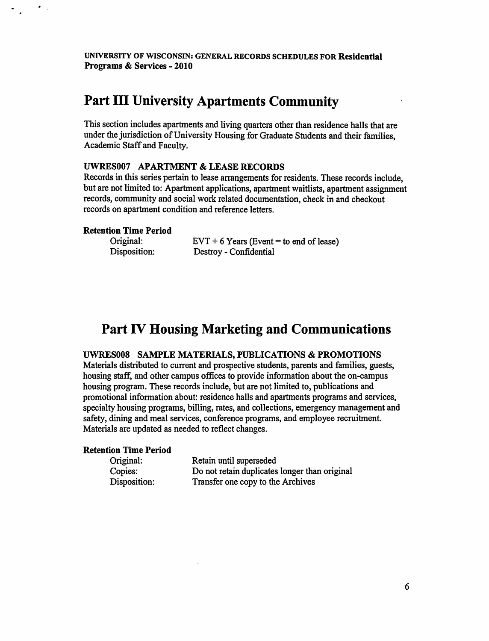# Part III University Apartments Community

This section includes apartments and living quarters other than residence halls that are under the jurisdiction of University Housing for Graduate Students and their families, Academic Staff and Faculty.

#### UWRES007 APARTMENT & LEASE RECORDS

Records in this series pertain to lease arrangements for residents. These records include, but are not limited to: Apartment applications, apartment waitlists, apartment assignment records, community and social work related documentation, check in and checkout records on apartment condition and reference letters.

#### Retention Time Period

Original: Disposition:  $EVT + 6$  Years (Event = to end of lease) Destroy - Confidential

# Part IV Housing Marketing and Communications

#### UWRESOOS SAMPLE MATERIALS, PUBLICATIONS & PROMOTIONS

Materials distributed to current and prospective students, parents and families, guests, housing staff, and other campus offices to provide information about the on-campus housing program. These records include, but are not limited to, publications and promotional information about: residence halls and apartments programs and services, specialty housing programs, billing, rates, and collections, emergency management and safety, dining and meal services, conference programs, and employee recruitment. Materials are updated as needed to reflect changes.

| Original:    | Retain until superseded                       |
|--------------|-----------------------------------------------|
| Copies:      | Do not retain duplicates longer than original |
| Disposition: | Transfer one copy to the Archives             |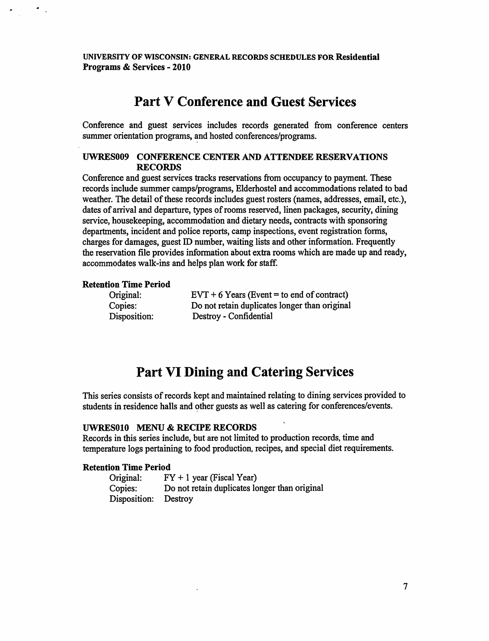# Part V Conference and Guest Services

Conference and guest services includes records generated from conference centers summer orientation programs, and hosted conferences/programs.

### UWRES009 CONFERENCE CENTER AND ATTENDEE RESERVATIONS RECORDS

Conference and guest services tracks reservations from occupancy to payment. These records include summer camps/programs, Elderhostel and accommodations related to bad weather. The detail of these records includes guest rosters (names, addresses, email, etc.), dates of arrival and departure, types of rooms reserved, linen packages, security, dining service, housekeeping, accommodation and dietary needs, contracts with sponsoring departments, incident and police reports, camp inspections, event registration forms, charges for damages, guest ID number, waiting lists and other information. Frequently the reservation file provides information about extra rooms which are made up and ready, accommodates walk-ins and helps plan work for staff.

#### Retention Time Period

 $\bullet$  .

| Original:    | $EVT + 6$ Years (Event = to end of contract)  |
|--------------|-----------------------------------------------|
| Copies:      | Do not retain duplicates longer than original |
| Disposition: | Destroy - Confidential                        |

# Part VI Dining and Catering Services

This series consists of records kept and maintained relating to dining services provided to students in residence halls and other guests as well as catering for conferences/events.

# UWRESOlO MENU & RECIPE RECORDS

Records in this series include, but are not limited to production records, time and temperature logs pertaining to food production, recipes, and special diet requirements.

| Original:    | $FY + 1$ year (Fiscal Year)                   |
|--------------|-----------------------------------------------|
| Copies:      | Do not retain duplicates longer than original |
| Disposition: | Destroy                                       |